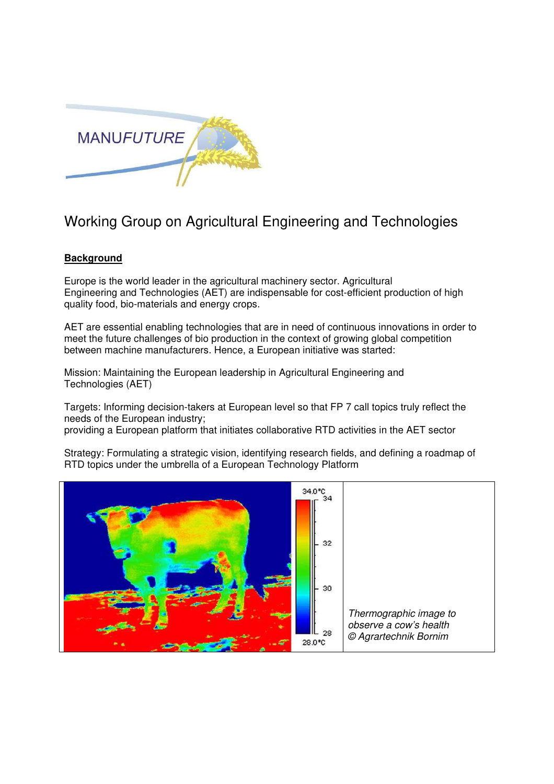

## Working Group on Agricultural Engineering and Technologies

## **Background**

Europe is the world leader in the agricultural machinery sector. Agricultural Engineering and Technologies (AET) are indispensable for cost-efficient production of high quality food, bio-materials and energy crops.

AET are essential enabling technologies that are in need of continuous innovations in order to meet the future challenges of bio production in the context of growing global competition between machine manufacturers. Hence, a European initiative was started:

Mission: Maintaining the European leadership in Agricultural Engineering and Technologies (AET)

Targets: Informing decision-takers at European level so that FP 7 call topics truly reflect the needs of the European industry;

providing a European platform that initiates collaborative RTD activities in the AET sector

Strategy: Formulating a strategic vision, identifying research fields, and defining a roadmap of RTD topics under the umbrella of a European Technology Platform

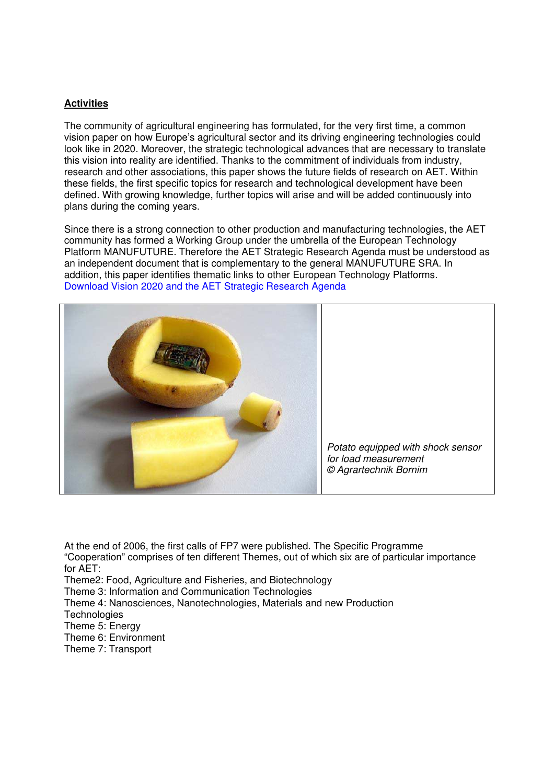## **Activities**

The community of agricultural engineering has formulated, for the very first time, a common vision paper on how Europe's agricultural sector and its driving engineering technologies could look like in 2020. Moreover, the strategic technological advances that are necessary to translate this vision into reality are identified. Thanks to the commitment of individuals from industry, research and other associations, this paper shows the future fields of research on AET. Within these fields, the first specific topics for research and technological development have been defined. With growing knowledge, further topics will arise and will be added continuously into plans during the coming years.

Since there is a strong connection to other production and manufacturing technologies, the AET community has formed a Working Group under the umbrella of the European Technology Platform MANUFUTURE. Therefore the AET Strategic Research Agenda must be understood as an independent document that is complementary to the general MANUFUTURE SRA. In addition, this paper identifies thematic links to other European Technology Platforms. Download Vision 2020 and the AET Strategic Research Agenda



At the end of 2006, the first calls of FP7 were published. The Specific Programme "Cooperation" comprises of ten different Themes, out of which six are of particular importance for AET: Theme2: Food, Agriculture and Fisheries, and Biotechnology Theme 3: Information and Communication Technologies Theme 4: Nanosciences, Nanotechnologies, Materials and new Production **Technologies** Theme 5: Energy Theme 6: Environment Theme 7: Transport